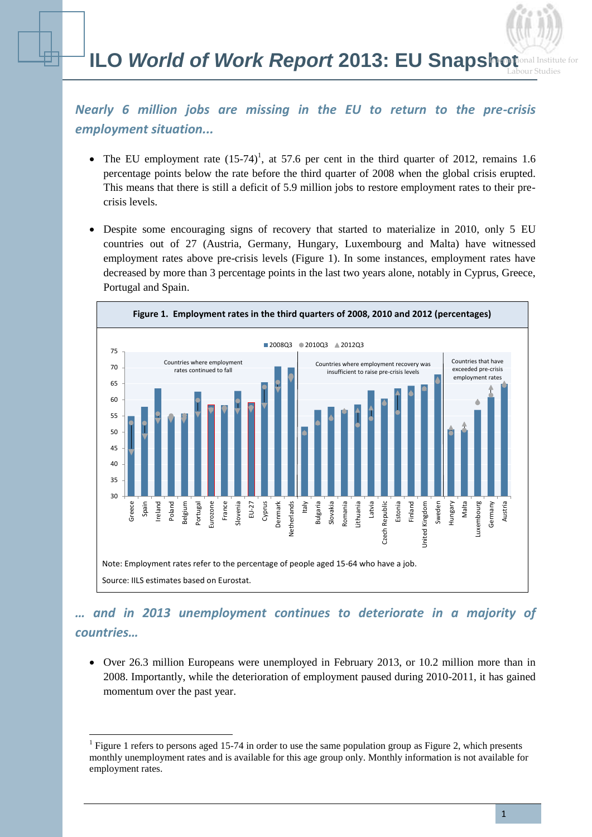## *Nearly 6 million jobs are missing in the EU to return to the pre-crisis employment situation...*

- The EU employment rate  $(15-74)^1$ , at 57.6 per cent in the third quarter of 2012, remains 1.6 percentage points below the rate before the third quarter of 2008 when the global crisis erupted. This means that there is still a deficit of 5.9 million jobs to restore employment rates to their precrisis levels.
- Despite some encouraging signs of recovery that started to materialize in 2010, only 5 EU countries out of 27 (Austria, Germany, Hungary, Luxembourg and Malta) have witnessed employment rates above pre-crisis levels (Figure 1). In some instances, employment rates have decreased by more than 3 percentage points in the last two years alone, notably in Cyprus, Greece, Portugal and Spain.



# *… and in 2013 unemployment continues to deteriorate in a majority of countries…*

 Over 26.3 million Europeans were unemployed in February 2013, or 10.2 million more than in 2008. Importantly, while the deterioration of employment paused during 2010-2011, it has gained momentum over the past year.

 $\overline{a}$ 

<sup>&</sup>lt;sup>1</sup> Figure 1 refers to persons aged 15-74 in order to use the same population group as Figure 2, which presents monthly unemployment rates and is available for this age group only. Monthly information is not available for employment rates.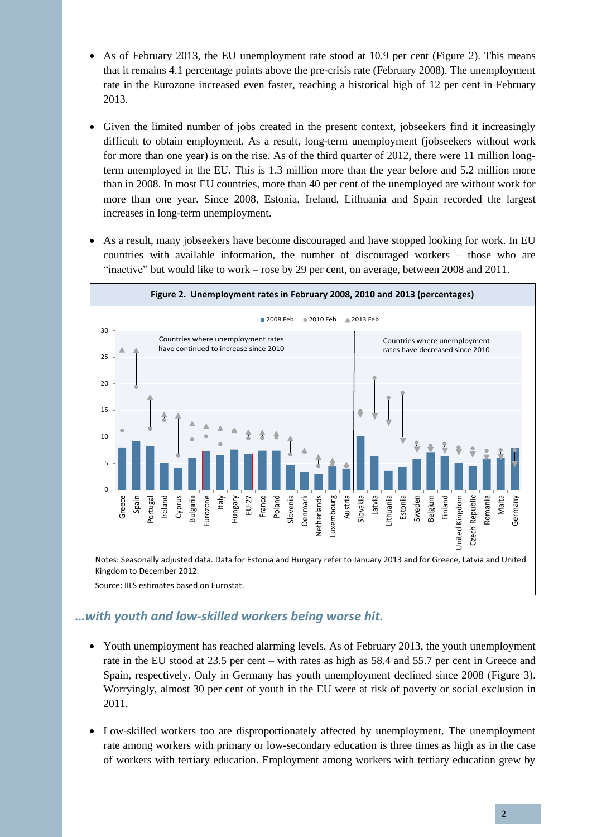- As of February 2013, the EU unemployment rate stood at 10.9 per cent (Figure 2). This means that it remains 4.1 percentage points above the pre-crisis rate (February 2008). The unemployment rate in the Eurozone increased even faster, reaching a historical high of 12 per cent in February 2013.
- Given the limited number of jobs created in the present context, jobseekers find it increasingly difficult to obtain employment. As a result, long-term unemployment (jobseekers without work for more than one year) is on the rise. As of the third quarter of 2012, there were 11 million longterm unemployed in the EU. This is 1.3 million more than the year before and 5.2 million more than in 2008. In most EU countries, more than 40 per cent of the unemployed are without work for more than one year. Since 2008, Estonia, Ireland, Lithuania and Spain recorded the largest increases in long-term unemployment.
- As a result, many jobseekers have become discouraged and have stopped looking for work. In EU countries with available information, the number of discouraged workers – those who are "inactive" but would like to work – rose by 29 per cent, on average, between 2008 and 2011.



## *…with youth and low-skilled workers being worse hit.*

- Youth unemployment has reached alarming levels. As of February 2013, the youth unemployment rate in the EU stood at 23.5 per cent – with rates as high as 58.4 and 55.7 per cent in Greece and Spain, respectively. Only in Germany has youth unemployment declined since 2008 (Figure 3). Worryingly, almost 30 per cent of youth in the EU were at risk of poverty or social exclusion in 2011.
- Low-skilled workers too are disproportionately affected by unemployment. The unemployment rate among workers with primary or low-secondary education is three times as high as in the case of workers with tertiary education. Employment among workers with tertiary education grew by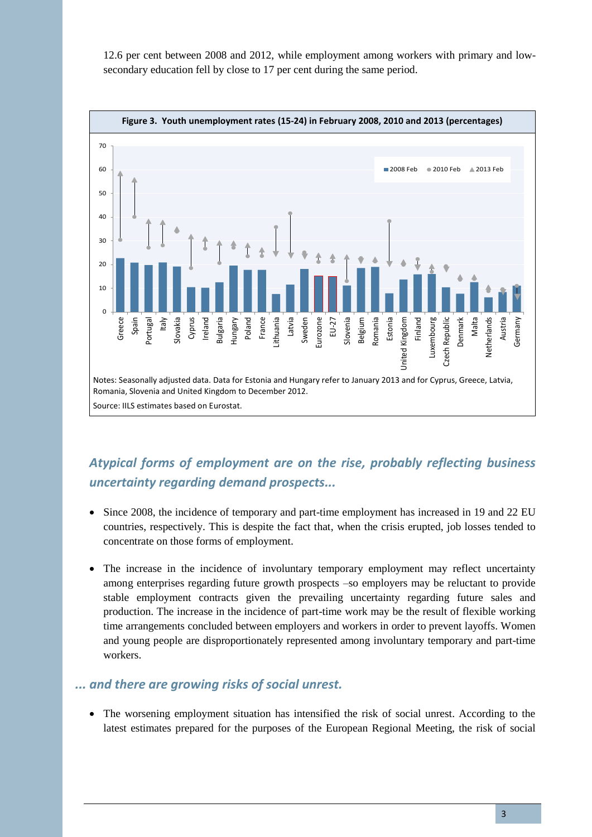12.6 per cent between 2008 and 2012, while employment among workers with primary and lowsecondary education fell by close to 17 per cent during the same period.



# *Atypical forms of employment are on the rise, probably reflecting business uncertainty regarding demand prospects...*

- Since 2008, the incidence of temporary and part-time employment has increased in 19 and 22 EU countries, respectively. This is despite the fact that, when the crisis erupted, job losses tended to concentrate on those forms of employment.
- The increase in the incidence of involuntary temporary employment may reflect uncertainty among enterprises regarding future growth prospects –so employers may be reluctant to provide stable employment contracts given the prevailing uncertainty regarding future sales and production. The increase in the incidence of part-time work may be the result of flexible working time arrangements concluded between employers and workers in order to prevent layoffs. Women and young people are disproportionately represented among involuntary temporary and part-time workers.

#### *... and there are growing risks of social unrest.*

 The worsening employment situation has intensified the risk of social unrest. According to the latest estimates prepared for the purposes of the European Regional Meeting, the risk of social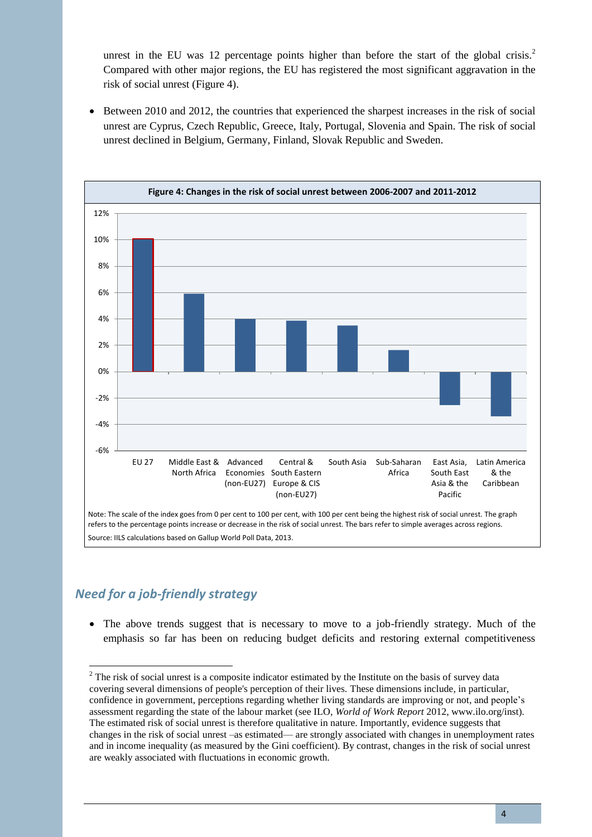unrest in the EU was 12 percentage points higher than before the start of the global crisis.<sup>2</sup> Compared with other major regions, the EU has registered the most significant aggravation in the risk of social unrest (Figure 4).

• Between 2010 and 2012, the countries that experienced the sharpest increases in the risk of social unrest are Cyprus, Czech Republic, Greece, Italy, Portugal, Slovenia and Spain. The risk of social unrest declined in Belgium, Germany, Finland, Slovak Republic and Sweden.



## *Need for a job-friendly strategy*

 $\overline{a}$ 

• The above trends suggest that is necessary to move to a job-friendly strategy. Much of the emphasis so far has been on reducing budget deficits and restoring external competitiveness

<sup>&</sup>lt;sup>2</sup> The risk of social unrest is a composite indicator estimated by the Institute on the basis of survey data covering several dimensions of people's perception of their lives. These dimensions include, in particular, confidence in government, perceptions regarding whether living standards are improving or not, and people's assessment regarding the state of the labour market (see ILO, *World of Work Report* 2012, www.ilo.org/inst). The estimated risk of social unrest is therefore qualitative in nature. Importantly, evidence suggests that changes in the risk of social unrest –as estimated— are strongly associated with changes in unemployment rates and in income inequality (as measured by the Gini coefficient). By contrast, changes in the risk of social unrest are weakly associated with fluctuations in economic growth.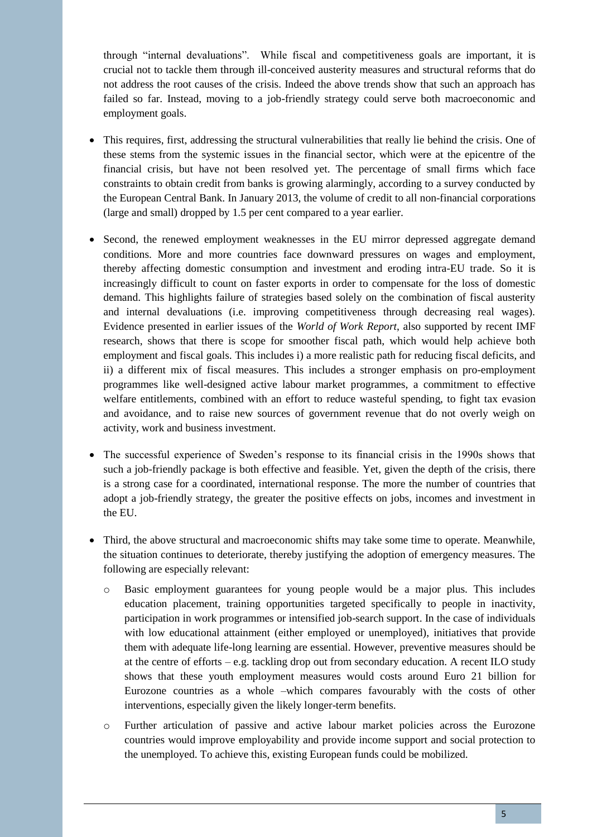through "internal devaluations". While fiscal and competitiveness goals are important, it is crucial not to tackle them through ill-conceived austerity measures and structural reforms that do not address the root causes of the crisis. Indeed the above trends show that such an approach has failed so far. Instead, moving to a job-friendly strategy could serve both macroeconomic and employment goals.

- This requires, first, addressing the structural vulnerabilities that really lie behind the crisis. One of these stems from the systemic issues in the financial sector, which were at the epicentre of the financial crisis, but have not been resolved yet. The percentage of small firms which face constraints to obtain credit from banks is growing alarmingly, according to a survey conducted by the European Central Bank. In January 2013, the volume of credit to all non-financial corporations (large and small) dropped by 1.5 per cent compared to a year earlier.
- Second, the renewed employment weaknesses in the EU mirror depressed aggregate demand conditions. More and more countries face downward pressures on wages and employment, thereby affecting domestic consumption and investment and eroding intra-EU trade. So it is increasingly difficult to count on faster exports in order to compensate for the loss of domestic demand. This highlights failure of strategies based solely on the combination of fiscal austerity and internal devaluations (i.e. improving competitiveness through decreasing real wages). Evidence presented in earlier issues of the *World of Work Report*, also supported by recent IMF research, shows that there is scope for smoother fiscal path, which would help achieve both employment and fiscal goals. This includes i) a more realistic path for reducing fiscal deficits, and ii) a different mix of fiscal measures. This includes a stronger emphasis on pro-employment programmes like well-designed active labour market programmes, a commitment to effective welfare entitlements, combined with an effort to reduce wasteful spending, to fight tax evasion and avoidance, and to raise new sources of government revenue that do not overly weigh on activity, work and business investment.
- The successful experience of Sweden's response to its financial crisis in the 1990s shows that such a job-friendly package is both effective and feasible. Yet, given the depth of the crisis, there is a strong case for a coordinated, international response. The more the number of countries that adopt a job-friendly strategy, the greater the positive effects on jobs, incomes and investment in the EU.
- Third, the above structural and macroeconomic shifts may take some time to operate. Meanwhile, the situation continues to deteriorate, thereby justifying the adoption of emergency measures. The following are especially relevant:
	- o Basic employment guarantees for young people would be a major plus. This includes education placement, training opportunities targeted specifically to people in inactivity, participation in work programmes or intensified job-search support. In the case of individuals with low educational attainment (either employed or unemployed), initiatives that provide them with adequate life-long learning are essential. However, preventive measures should be at the centre of efforts  $-e.g.$  tackling drop out from secondary education. A recent ILO study shows that these youth employment measures would costs around Euro 21 billion for Eurozone countries as a whole –which compares favourably with the costs of other interventions, especially given the likely longer-term benefits.
	- o Further articulation of passive and active labour market policies across the Eurozone countries would improve employability and provide income support and social protection to the unemployed. To achieve this, existing European funds could be mobilized.